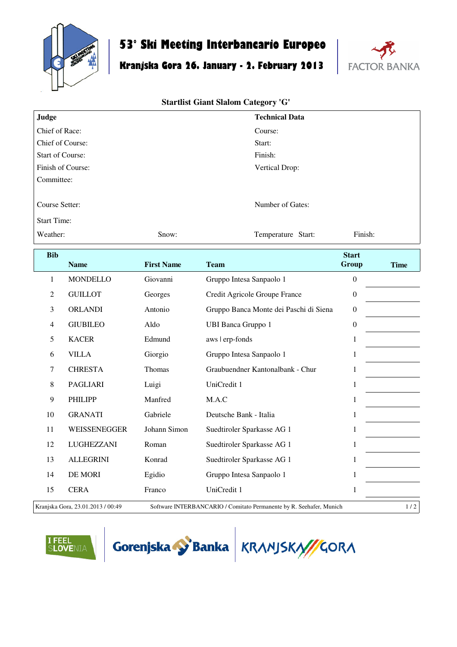

## **53° Ski Meeting Interbancario Europeo**

## **Kranjska Gora 26. January - 2. February 2013**



## **Startlist Giant Slalom Category 'G'**

| Judge                   |                  |                   | <b>Technical Data</b>                  |                       |             |
|-------------------------|------------------|-------------------|----------------------------------------|-----------------------|-------------|
| Chief of Race:          |                  |                   | Course:                                |                       |             |
| Chief of Course:        |                  |                   | Start:                                 |                       |             |
| <b>Start of Course:</b> |                  |                   | Finish:                                |                       |             |
| Finish of Course:       |                  |                   | Vertical Drop:                         |                       |             |
| Committee:              |                  |                   |                                        |                       |             |
| Course Setter:          |                  |                   | Number of Gates:                       |                       |             |
| <b>Start Time:</b>      |                  |                   |                                        |                       |             |
| Weather:                |                  | Snow:             | Temperature Start:                     | Finish:               |             |
| <b>Bib</b>              | <b>Name</b>      | <b>First Name</b> | <b>Team</b>                            | <b>Start</b><br>Group | <b>Time</b> |
| $\mathbf{1}$            | <b>MONDELLO</b>  | Giovanni          | Gruppo Intesa Sanpaolo 1               | $\boldsymbol{0}$      |             |
| $\overline{2}$          | <b>GUILLOT</b>   | Georges           | Credit Agricole Groupe France          | $\boldsymbol{0}$      |             |
| 3                       | <b>ORLANDI</b>   | Antonio           | Gruppo Banca Monte dei Paschi di Siena | $\boldsymbol{0}$      |             |
| $\overline{4}$          | <b>GIUBILEO</b>  | Aldo              | <b>UBI Banca Gruppo 1</b>              | $\boldsymbol{0}$      |             |
| 5                       | <b>KACER</b>     | Edmund            | aws   erp-fonds                        | $\,1$                 |             |
| 6                       | <b>VILLA</b>     | Giorgio           | Gruppo Intesa Sanpaolo 1               | 1                     |             |
| 7                       | <b>CHRESTA</b>   | Thomas            | Graubuendner Kantonalbank - Chur       | $\mathbf{1}$          |             |
| 8                       | <b>PAGLIARI</b>  | Luigi             | UniCredit 1                            | $\mathbf{1}$          |             |
| 9                       | <b>PHILIPP</b>   | Manfred           | M.A.C                                  | $\,1$                 |             |
| 10                      | <b>GRANATI</b>   | Gabriele          | Deutsche Bank - Italia                 | $\mathbf{1}$          |             |
| 11                      | WEISSENEGGER     | Johann Simon      | Suedtiroler Sparkasse AG 1             | $\mathbf{1}$          |             |
| 12                      | LUGHEZZANI       | Roman             | Suedtiroler Sparkasse AG 1             | $\mathbf{1}$          |             |
| 13                      | <b>ALLEGRINI</b> | Konrad            | Suedtiroler Sparkasse AG 1             | $\mathbf{1}$          |             |
| 14                      | DE MORI          | Egidio            | Gruppo Intesa Sanpaolo 1               | $\mathbf{1}$          |             |

Kranjska Gora, 23.01.2013 / 00:49 Software INTERBANCARIO / Comitato Permanente by R. Seehafer, Munich 1 / 2

15 CERA Franco UniCredit 1 1